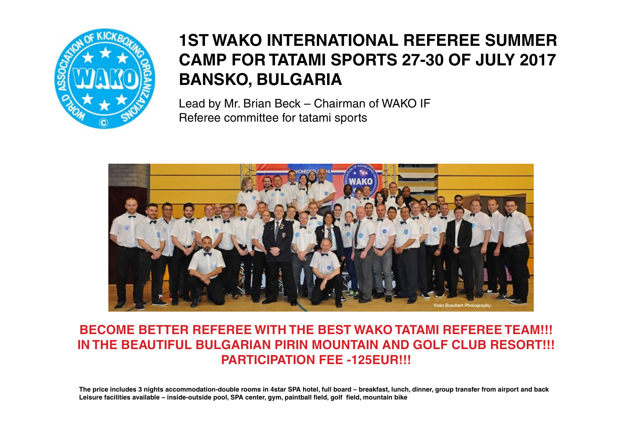

# **1ST WAKO INTERNATIONAL REFEREE SUMMER CAMP FOR TATAMI SPORTS 27-30 OF JULY 2017 BANSKO, BULGARIA**

Lead by Mr. Brian Beck – Chairman of WAKO IF Referee committee for tatami sports



### **BECOME BETTER REFEREE WITH THE BEST WAKO TATAMI REFEREE TEAM!!! IN THE BEAUTIFUL BULGARIAN PIRIN MOUNTAIN AND GOLF CLUB RESORT!!! PARTICIPATION FEE -125EUR!!!**

**The price includes 3 nights accommodation-double rooms in 4star SPA hotel, full board – breakfast, lunch, dinner, group transfer from airport and back Leisure facilities available – inside-outside pool, SPA center, gym, paintball field, golf field, mountain bike**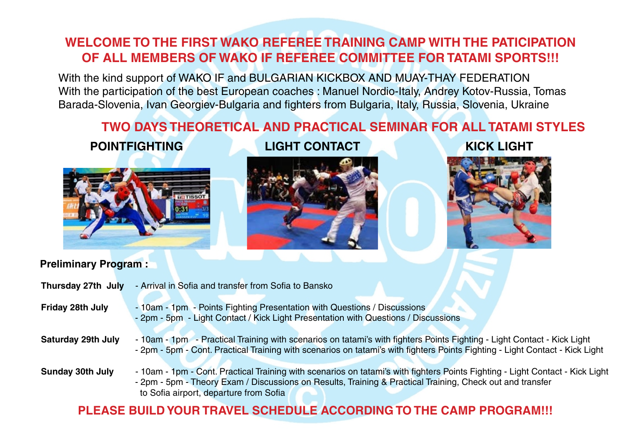### **WELCOME TO THE FIRST WAKO REFEREE TRAINING CAMP WITH THE PATICIPATION OF ALL MEMBERS OF WAKO IF REFEREE COMMITTEE FOR TATAMI SPORTS!!!**

With the kind support of WAKO IF and BULGARIAN KICKBOX AND MUAY-THAY FEDERATION With the participation of the best European coaches : Manuel Nordio-Italy, Andrey Kotov-Russia, Tomas Barada-Slovenia, Ivan Georgiev-Bulgaria and fighters from Bulgaria, Italy, Russia, Slovenia, Ukraine

## **TWO DAYS THEORETICAL AND PRACTICAL SEMINAR FOR ALL TATAMI STYLES**



**POINTFIGHTING LIGHT CONTACT KICK LIGHT**





#### **Preliminary Program :**

| Thursday 27th July        | - Arrival in Sofia and transfer from Sofia to Bansko                                                                                                                                                                                                                                 |
|---------------------------|--------------------------------------------------------------------------------------------------------------------------------------------------------------------------------------------------------------------------------------------------------------------------------------|
| Friday 28th July          | - 10am - 1pm - Points Fighting Presentation with Questions / Discussions<br>- 2pm - 5pm - Light Contact / Kick Light Presentation with Questions / Discussions                                                                                                                       |
| <b>Saturday 29th July</b> | - 10am - 1pm - Practical Training with scenarios on tatami's with fighters Points Fighting - Light Contact - Kick Light<br>- 2pm - 5pm - Cont. Practical Training with scenarios on tatami's with fighters Points Fighting - Light Contact - Kick Light                              |
| <b>Sunday 30th July</b>   | - 10am - 1pm - Cont. Practical Training with scenarios on tatami's with fighters Points Fighting - Light Contact - Kick Light<br>- 2pm - 5pm - Theory Exam / Discussions on Results, Training & Practical Training, Check out and transfer<br>to Sofia airport, departure from Sofia |

### **PLEASE BUILD YOUR TRAVEL SCHEDULE ACCORDING TO THE CAMP PROGRAM!!!**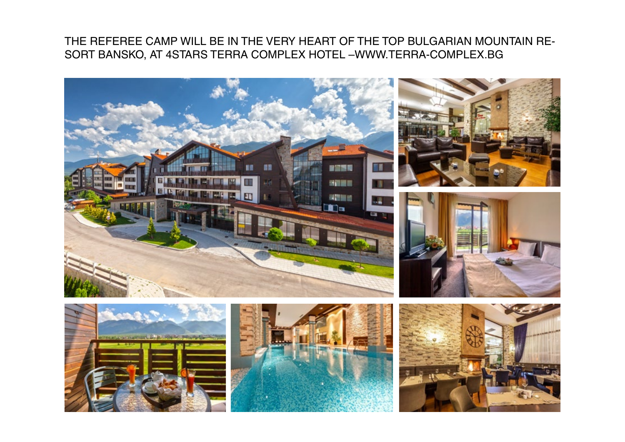### THE REFEREE CAMP WILL BE IN THE VERY HEART OF THE TOP BULGARIAN MOUNTAIN RE-SORT BANSKO, AT 4STARS TERRA COMPLEX HOTEL –WWW.TERRA-COMPLEX.BG